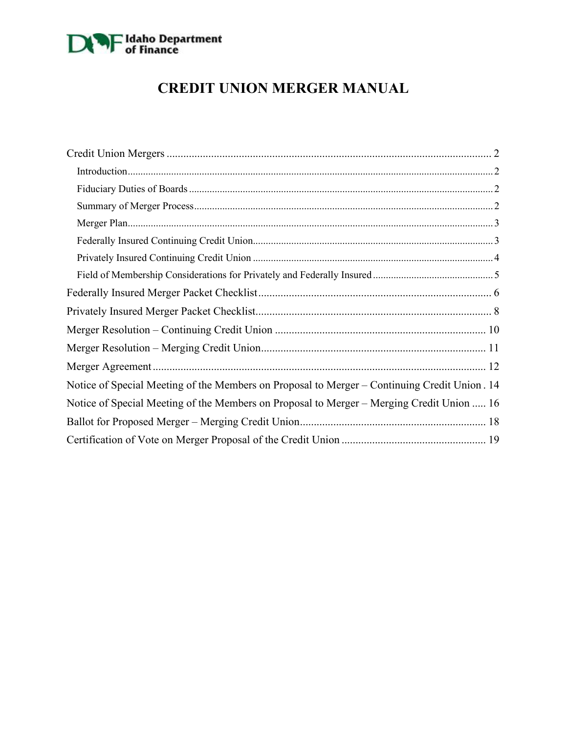

# **CREDIT UNION MERGER MANUAL**

| Notice of Special Meeting of the Members on Proposal to Merger – Continuing Credit Union. 14 |
|----------------------------------------------------------------------------------------------|
| Notice of Special Meeting of the Members on Proposal to Merger - Merging Credit Union  16    |
|                                                                                              |
|                                                                                              |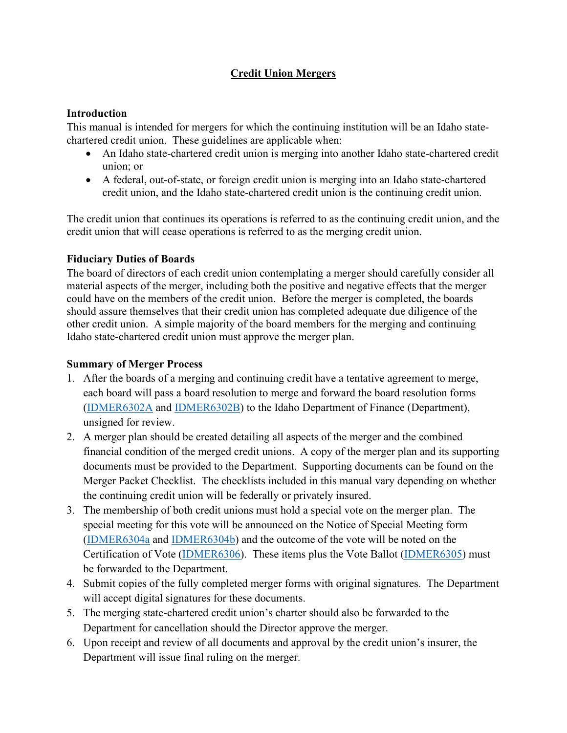# **Credit Union Mergers**

### <span id="page-1-1"></span><span id="page-1-0"></span>**Introduction**

This manual is intended for mergers for which the continuing institution will be an Idaho statechartered credit union. These guidelines are applicable when:

- An Idaho state-chartered credit union is merging into another Idaho state-chartered credit union; or
- A federal, out-of-state, or foreign credit union is merging into an Idaho state-chartered credit union, and the Idaho state-chartered credit union is the continuing credit union.

The credit union that continues its operations is referred to as the continuing credit union, and the credit union that will cease operations is referred to as the merging credit union.

#### <span id="page-1-2"></span>**Fiduciary Duties of Boards**

The board of directors of each credit union contemplating a merger should carefully consider all material aspects of the merger, including both the positive and negative effects that the merger could have on the members of the credit union. Before the merger is completed, the boards should assure themselves that their credit union has completed adequate due diligence of the other credit union. A simple majority of the board members for the merging and continuing Idaho state-chartered credit union must approve the merger plan.

## <span id="page-1-3"></span>**Summary of Merger Process**

- 1. After the boards of a merging and continuing credit have a tentative agreement to merge, each board will pass a board resolution to merge and forward the board resolution forms [\(IDMER6302A](#page-9-0) and [IDMER6302B\)](#page-10-0) to the Idaho Department of Finance (Department), unsigned for review.
- 2. A merger plan should be created detailing all aspects of the merger and the combined financial condition of the merged credit unions. A copy of the merger plan and its supporting documents must be provided to the Department. Supporting documents can be found on the Merger Packet Checklist. The checklists included in this manual vary depending on whether the continuing credit union will be federally or privately insured.
- 3. The membership of both credit unions must hold a special vote on the merger plan. The special meeting for this vote will be announced on the Notice of Special Meeting form [\(IDMER6304a](#page-13-0) and [IDMER6304b\)](#page-15-0) and the outcome of the vote will be noted on the Certification of Vote [\(IDMER6306\)](#page-18-0). These items plus the Vote Ballot [\(IDMER6305\)](#page-17-0) must be forwarded to the Department.
- 4. Submit copies of the fully completed merger forms with original signatures. The Department will accept digital signatures for these documents.
- 5. The merging state-chartered credit union's charter should also be forwarded to the Department for cancellation should the Director approve the merger.
- 6. Upon receipt and review of all documents and approval by the credit union's insurer, the Department will issue final ruling on the merger.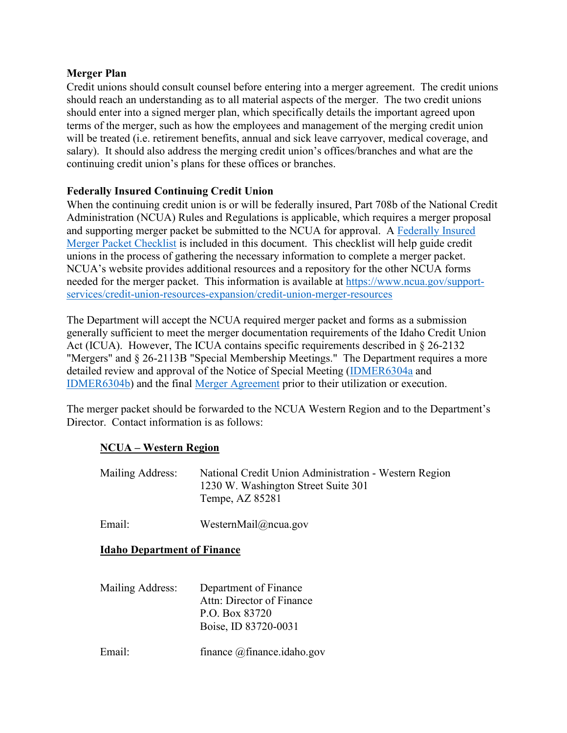#### <span id="page-2-0"></span>**Merger Plan**

Credit unions should consult counsel before entering into a merger agreement. The credit unions should reach an understanding as to all material aspects of the merger. The two credit unions should enter into a signed merger plan, which specifically details the important agreed upon terms of the merger, such as how the employees and management of the merging credit union will be treated (i.e. retirement benefits, annual and sick leave carryover, medical coverage, and salary). It should also address the merging credit union's offices/branches and what are the continuing credit union's plans for these offices or branches.

## <span id="page-2-1"></span>**Federally Insured Continuing Credit Union**

When the continuing credit union is or will be federally insured, Part 708b of the National Credit Administration (NCUA) Rules and Regulations is applicable, which requires a merger proposal and supporting merger packet be submitted to the NCUA for approval. A [Federally Insured](#page-4-1)  [Merger Packet Checklist](#page-4-1) is included in this document. This checklist will help guide credit unions in the process of gathering the necessary information to complete a merger packet. NCUA's website provides additional resources and a repository for the other NCUA forms needed for the merger packet. This information is available at [https://www.ncua.gov/support](https://www.ncua.gov/support-services/credit-union-resources-expansion/credit-union-merger-resources)[services/credit-union-resources-expansion/credit-union-merger-resources](https://www.ncua.gov/support-services/credit-union-resources-expansion/credit-union-merger-resources) 

The Department will accept the NCUA required merger packet and forms as a submission generally sufficient to meet the merger documentation requirements of the Idaho Credit Union Act (ICUA). However, The ICUA contains specific requirements described in § 26-2132 "Mergers" and § 26-2113B "Special Membership Meetings." The Department requires a more detailed review and approval of the Notice of Special Meeting [\(IDMER6304a](#page-13-0) and [IDMER6304b\)](#page-15-0) and the final [Merger Agreement](#page-11-0) prior to their utilization or execution.

The merger packet should be forwarded to the NCUA Western Region and to the Department's Director. Contact information is as follows:

## **NCUA – Western Region**

| Mailing Address:                   | National Credit Union Administration - Western Region<br>1230 W. Washington Street Suite 301<br>Tempe, AZ 85281 |  |  |  |  |
|------------------------------------|-----------------------------------------------------------------------------------------------------------------|--|--|--|--|
| Email:                             | WesternMail@ncua.gov                                                                                            |  |  |  |  |
| <b>Idaho Department of Finance</b> |                                                                                                                 |  |  |  |  |

| Mailing Address: | Department of Finance<br>Attn: Director of Finance<br>P.O. Box 83720<br>Boise, ID 83720-0031 |
|------------------|----------------------------------------------------------------------------------------------|
| Email:           | finance @finance.idaho.gov                                                                   |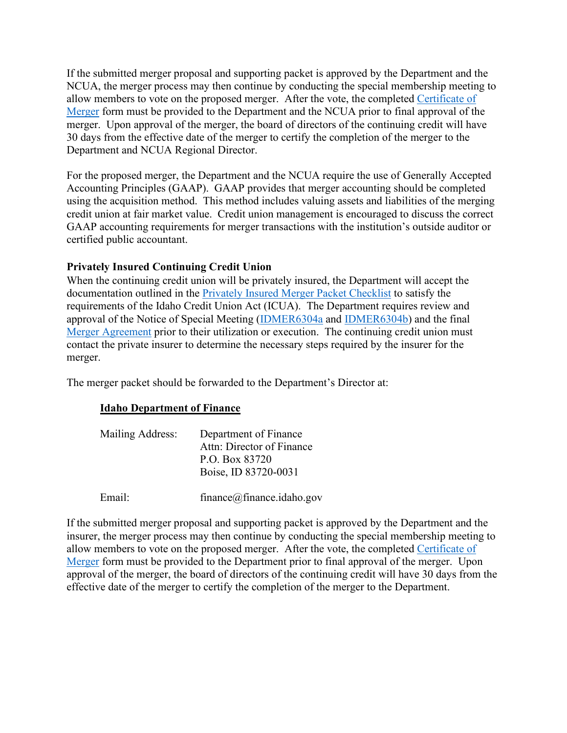If the submitted merger proposal and supporting packet is approved by the Department and the NCUA, the merger process may then continue by conducting the special membership meeting to allow members to vote on the proposed merger. After the vote, the completed [Certificate of](#page-18-0)  [Merger](#page-18-0) form must be provided to the Department and the NCUA prior to final approval of the merger. Upon approval of the merger, the board of directors of the continuing credit will have 30 days from the effective date of the merger to certify the completion of the merger to the Department and NCUA Regional Director.

For the proposed merger, the Department and the NCUA require the use of Generally Accepted Accounting Principles (GAAP). GAAP provides that merger accounting should be completed using the acquisition method. This method includes valuing assets and liabilities of the merging credit union at fair market value. Credit union management is encouraged to discuss the correct GAAP accounting requirements for merger transactions with the institution's outside auditor or certified public accountant.

#### <span id="page-3-0"></span>**Privately Insured Continuing Credit Union**

When the continuing credit union will be privately insured, the Department will accept the documentation outlined in the [Privately Insured Merger Packet Checklist](#page-7-0) to satisfy the requirements of the Idaho Credit Union Act (ICUA). The Department requires review and approval of the Notice of Special Meeting [\(IDMER6304a](#page-13-0) and [IDMER6304b\)](#page-15-0) and the final [Merger Agreement](#page-11-0) prior to their utilization or execution. The continuing credit union must contact the private insurer to determine the necessary steps required by the insurer for the merger.

The merger packet should be forwarded to the Department's Director at:

#### **Idaho Department of Finance**

| Mailing Address: | Department of Finance     |
|------------------|---------------------------|
|                  | Attn: Director of Finance |
|                  | P.O. Box 83720            |
|                  | Boise, ID 83720-0031      |
|                  |                           |

Email: finance@finance.idaho.gov

If the submitted merger proposal and supporting packet is approved by the Department and the insurer, the merger process may then continue by conducting the special membership meeting to allow members to vote on the proposed merger. After the vote, the completed [Certificate of](#page-18-0)  [Merger](#page-18-0) form must be provided to the Department prior to final approval of the merger. Upon approval of the merger, the board of directors of the continuing credit will have 30 days from the effective date of the merger to certify the completion of the merger to the Department.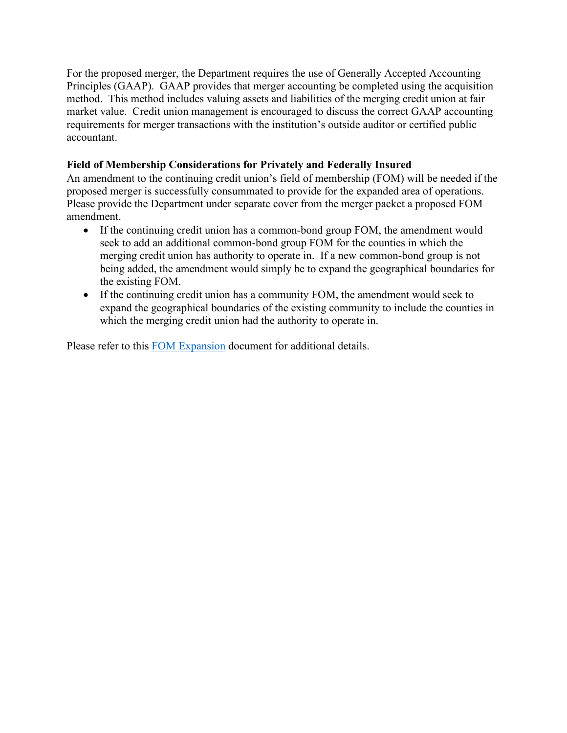For the proposed merger, the Department requires the use of Generally Accepted Accounting Principles (GAAP). GAAP provides that merger accounting be completed using the acquisition method. This method includes valuing assets and liabilities of the merging credit union at fair market value. Credit union management is encouraged to discuss the correct GAAP accounting requirements for merger transactions with the institution's outside auditor or certified public accountant.

## <span id="page-4-0"></span>**Field of Membership Considerations for Privately and Federally Insured**

An amendment to the continuing credit union's field of membership (FOM) will be needed if the proposed merger is successfully consummated to provide for the expanded area of operations. Please provide the Department under separate cover from the merger packet a proposed FOM amendment.

- If the continuing credit union has a common-bond group FOM, the amendment would seek to add an additional common-bond group FOM for the counties in which the merging credit union has authority to operate in. If a new common-bond group is not being added, the amendment would simply be to expand the geographical boundaries for the existing FOM.
- If the continuing credit union has a community FOM, the amendment would seek to expand the geographical boundaries of the existing community to include the counties in which the merging credit union had the authority to operate in.

<span id="page-4-1"></span>Please refer to this [FOM Expansion](https://www.finance.idaho.gov/industry/credit-unions/forms/documents/field-membership-expansion-request-information.pdf) document for additional details.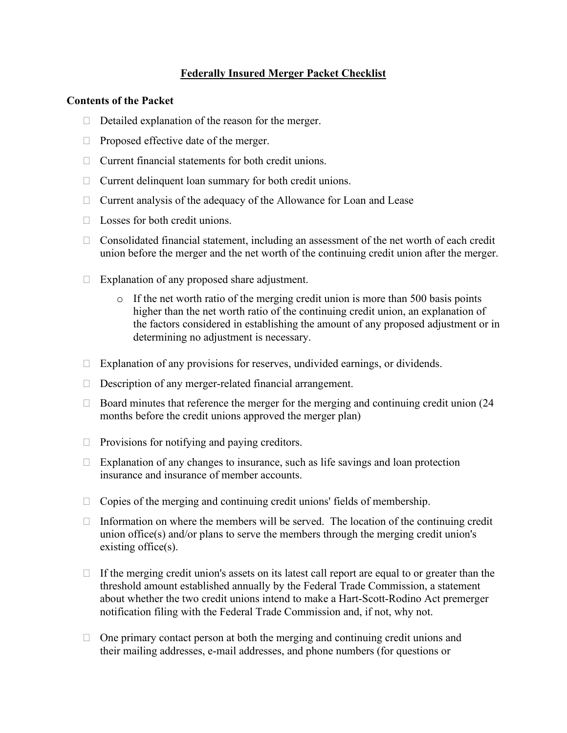## **Federally Insured Merger Packet Checklist**

#### <span id="page-5-0"></span>**Contents of the Packet**

- $\Box$  Detailed explanation of the reason for the merger.
- $\Box$  Proposed effective date of the merger.
- $\Box$  Current financial statements for both credit unions.
- $\Box$  Current delinquent loan summary for both credit unions.
- $\Box$  Current analysis of the adequacy of the Allowance for Loan and Lease
- $\Box$  Losses for both credit unions.
- $\Box$  Consolidated financial statement, including an assessment of the net worth of each credit union before the merger and the net worth of the continuing credit union after the merger.
- $\Box$  Explanation of any proposed share adjustment.
	- o If the net worth ratio of the merging credit union is more than 500 basis points higher than the net worth ratio of the continuing credit union, an explanation of the factors considered in establishing the amount of any proposed adjustment or in determining no adjustment is necessary.
- $\Box$  Explanation of any provisions for reserves, undivided earnings, or dividends.
- $\Box$  Description of any merger-related financial arrangement.
- $\Box$  Board minutes that reference the merger for the merging and continuing credit union (24) months before the credit unions approved the merger plan)
- $\Box$  Provisions for notifying and paying creditors.
- $\Box$  Explanation of any changes to insurance, such as life savings and loan protection insurance and insurance of member accounts.
- $\Box$  Copies of the merging and continuing credit unions' fields of membership.
- $\Box$  Information on where the members will be served. The location of the continuing credit union office(s) and/or plans to serve the members through the merging credit union's existing office(s).
- $\Box$  If the merging credit union's assets on its latest call report are equal to or greater than the threshold amount established annually by the Federal Trade Commission, a statement about whether the two credit unions intend to make a Hart-Scott-Rodino Act premerger notification filing with the Federal Trade Commission and, if not, why not.
- $\Box$  One primary contact person at both the merging and continuing credit unions and their mailing addresses, e-mail addresses, and phone numbers (for questions or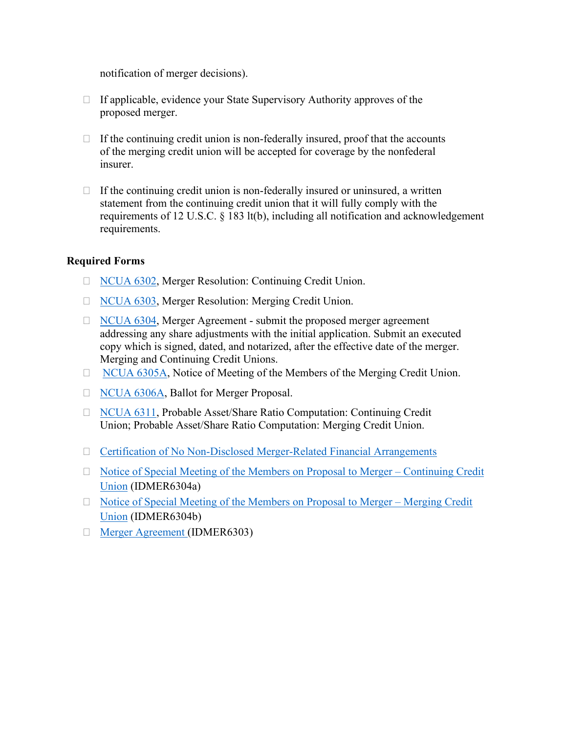notification of merger decisions).

- $\Box$  If applicable, evidence your State Supervisory Authority approves of the proposed merger.
- $\Box$  If the continuing credit union is non-federally insured, proof that the accounts of the merging credit union will be accepted for coverage by the nonfederal insurer.
- $\Box$  If the continuing credit union is non-federally insured or uninsured, a written statement from the continuing credit union that it will fully comply with the requirements of 12 U.S.C. § 183 lt(b), including all notification and acknowledgement requirements.

## **Required Forms**

- □ [NCUA 6302,](https://www.ncua.gov/files/publications/merger-resources/merger-resolution-continuing-credit-union-6302.pdf) Merger Resolution: Continuing Credit Union.
- □ [NCUA 6303,](https://www.ncua.gov/files/publications/merger-resources/merger-resolution-merging-credit-union-6303.pdf) Merger Resolution: Merging Credit Union.
- $\Box$  [NCUA 6304,](https://www.ncua.gov/files/publications/merger-resources/merger-agreement-6304.pdf) Merger Agreement submit the proposed merger agreement addressing any share adjustments with the initial application. Submit an executed copy which is signed, dated, and notarized, after the effective date of the merger. Merging and Continuing Credit Unions.
- □ [NCUA 6305A,](https://www.ncua.gov/files/publications/merger-resources/notice-special-meeting-members-proposal-6305A.pdf) Notice of Meeting of the Members of the Merging Credit Union.
- □ [NCUA 6306A,](https://www.ncua.gov/files/publications/merger-resources/ballot-merger-proposal-6306A.pdf) Ballot for Merger Proposal.
- [NCUA 6311,](https://www.ncua.gov/files/publications/merger-resources/probable-asset-share-ration-computation-6311.pdf) Probable Asset/Share Ratio Computation: Continuing Credit Union; Probable Asset/Share Ratio Computation: Merging Credit Union.
- $\Box$  [Certification of No Non-Disclosed Merger-Related Financial Arrangements](https://www.ncua.gov/files/publications/merger-resources/certification-merger-related-financial-agreements.pdf)
- □ Notice of Special Meeting of the Members on Proposal to Merger Continuing Credit [Union](#page-13-0) (IDMER6304a)
- $\Box$  Notice of Special Meeting of the Members on Proposal to Merger Merging Credit [Union](#page-15-0) (IDMER6304b)
- [Merger Agreement](#page-11-0) (IDMER6303)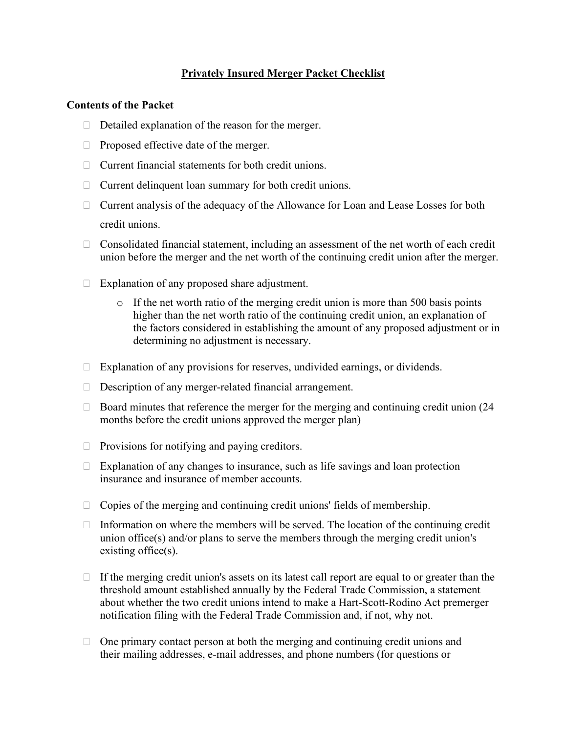## **Privately Insured Merger Packet Checklist**

#### <span id="page-7-0"></span>**Contents of the Packet**

- $\Box$  Detailed explanation of the reason for the merger.
- $\Box$  Proposed effective date of the merger.
- $\Box$  Current financial statements for both credit unions.
- $\Box$  Current delinquent loan summary for both credit unions.
- $\Box$  Current analysis of the adequacy of the Allowance for Loan and Lease Losses for both credit unions.
- $\Box$  Consolidated financial statement, including an assessment of the net worth of each credit union before the merger and the net worth of the continuing credit union after the merger.
- $\Box$  Explanation of any proposed share adjustment.
	- $\circ$  If the net worth ratio of the merging credit union is more than 500 basis points higher than the net worth ratio of the continuing credit union, an explanation of the factors considered in establishing the amount of any proposed adjustment or in determining no adjustment is necessary.
- $\Box$  Explanation of any provisions for reserves, undivided earnings, or dividends.
- $\Box$  Description of any merger-related financial arrangement.
- $\Box$  Board minutes that reference the merger for the merging and continuing credit union (24) months before the credit unions approved the merger plan)
- $\Box$  Provisions for notifying and paying creditors.
- $\Box$  Explanation of any changes to insurance, such as life savings and loan protection insurance and insurance of member accounts.
- $\Box$  Copies of the merging and continuing credit unions' fields of membership.
- $\Box$  Information on where the members will be served. The location of the continuing credit union office(s) and/or plans to serve the members through the merging credit union's existing office(s).
- $\Box$  If the merging credit union's assets on its latest call report are equal to or greater than the threshold amount established annually by the Federal Trade Commission, a statement about whether the two credit unions intend to make a Hart-Scott-Rodino Act premerger notification filing with the Federal Trade Commission and, if not, why not.
- $\Box$  One primary contact person at both the merging and continuing credit unions and their mailing addresses, e-mail addresses, and phone numbers (for questions or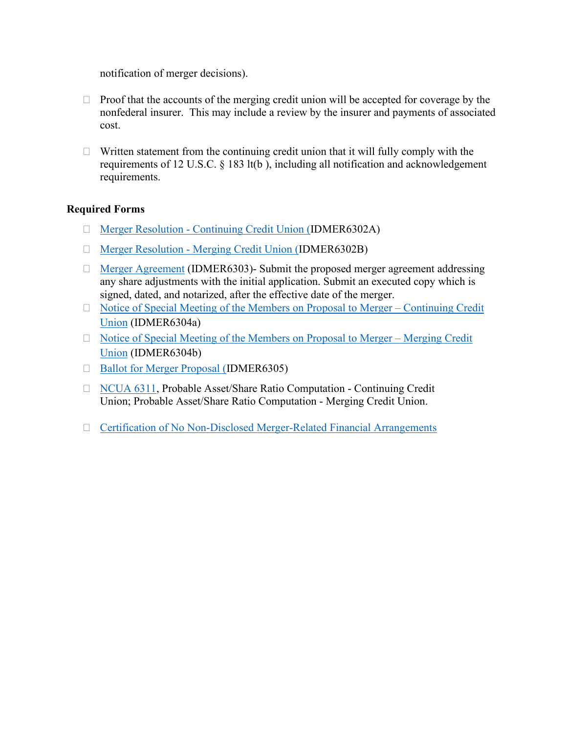notification of merger decisions).

- $\Box$  Proof that the accounts of the merging credit union will be accepted for coverage by the nonfederal insurer. This may include a review by the insurer and payments of associated cost.
- $\Box$  Written statement from the continuing credit union that it will fully comply with the requirements of 12 U.S.C. § 183 lt(b ), including all notification and acknowledgement requirements.

## **Required Forms**

- [Merger Resolution Continuing Credit Union](#page-9-0) (IDMER6302A)
- [Merger Resolution Merging Credit Union](#page-10-0) (IDMER6302B)
- $\Box$  [Merger Agreement](#page-11-0) (IDMER6303)- Submit the proposed merger agreement addressing any share adjustments with the initial application. Submit an executed copy which is signed, dated, and notarized, after the effective date of the merger.
- $\Box$  Notice of Special Meeting of the Members on Proposal to Merger Continuing Credit [Union](#page-13-0) (IDMER6304a)
- $\Box$  Notice of Special Meeting of the Members on Proposal to Merger Merging Credit [Union](#page-15-0) (IDMER6304b)
- □ [Ballot for Merger Proposal](#page-17-0) (IDMER6305)
- □ [NCUA 6311,](https://www.ncua.gov/files/publications/merger-resources/probable-asset-share-ration-computation-6311.pdf) Probable Asset/Share Ratio Computation Continuing Credit Union; Probable Asset/Share Ratio Computation - Merging Credit Union.
- □ [Certification of No Non-Disclosed Merger-Related Financial Arrangements](https://www.ncua.gov/files/publications/merger-resources/certification-merger-related-financial-agreements.pdf)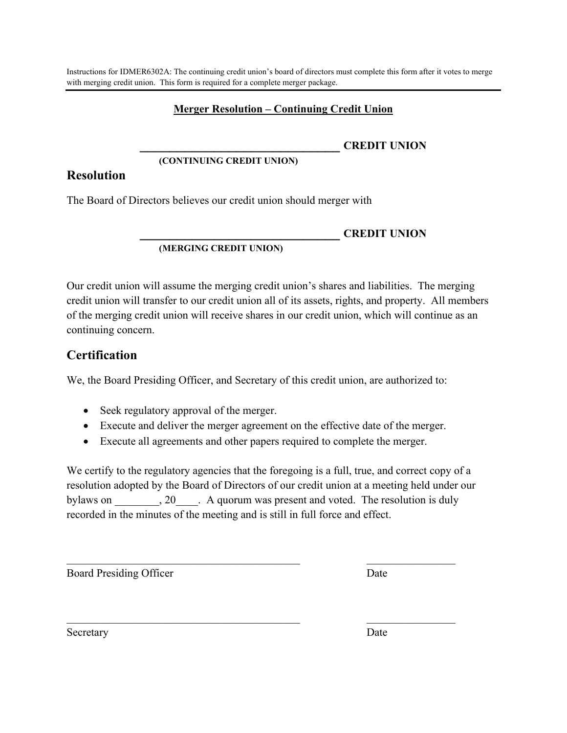## **Merger Resolution – Continuing Credit Union**

## **\_\_\_\_\_\_\_\_\_\_\_\_\_\_\_\_\_\_\_\_\_\_\_\_\_\_\_ CREDIT UNION**

#### **(CONTINUING CREDIT UNION)**

## <span id="page-9-0"></span>**Resolution**

The Board of Directors believes our credit union should merger with

## **\_\_\_\_\_\_\_\_\_\_\_\_\_\_\_\_\_\_\_\_\_\_\_\_\_\_\_ CREDIT UNION**

#### **(MERGING CREDIT UNION)**

Our credit union will assume the merging credit union's shares and liabilities. The merging credit union will transfer to our credit union all of its assets, rights, and property. All members of the merging credit union will receive shares in our credit union, which will continue as an continuing concern.

# **Certification**

We, the Board Presiding Officer, and Secretary of this credit union, are authorized to:

- Seek regulatory approval of the merger.
- Execute and deliver the merger agreement on the effective date of the merger.
- Execute all agreements and other papers required to complete the merger.

We certify to the regulatory agencies that the foregoing is a full, true, and correct copy of a resolution adopted by the Board of Directors of our credit union at a meeting held under our bylaws on  $, 20$ . A quorum was present and voted. The resolution is duly recorded in the minutes of the meeting and is still in full force and effect.

 $\mathcal{L}_\text{max}$  , and the contribution of the contribution of  $\mathcal{L}_\text{max}$  , and the contribution of  $\mathcal{L}_\text{max}$ 

 $\mathcal{L}_\text{max}$  , and the contribution of the contribution of  $\mathcal{L}_\text{max}$  , and the contribution of  $\mathcal{L}_\text{max}$ 

Board Presiding Officer Date

Secretary Date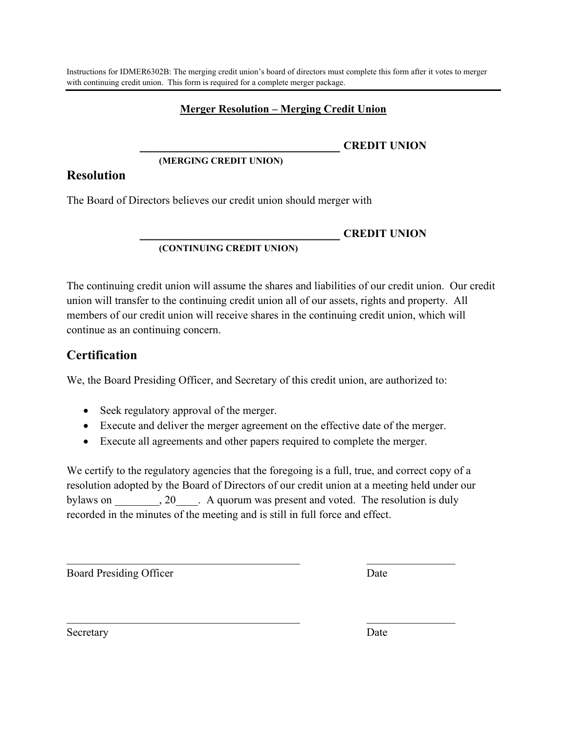<span id="page-10-0"></span>Instructions for IDMER6302B: The merging credit union's board of directors must complete this form after it votes to merger with continuing credit union. This form is required for a complete merger package.

## **Merger Resolution – Merging Credit Union**

**\_\_\_\_\_\_\_\_\_\_\_\_\_\_\_\_\_\_\_\_\_\_\_\_\_\_\_ CREDIT UNION**

#### **(MERGING CREDIT UNION)**

## **Resolution**

The Board of Directors believes our credit union should merger with

#### **\_\_\_\_\_\_\_\_\_\_\_\_\_\_\_\_\_\_\_\_\_\_\_\_\_\_\_ CREDIT UNION (CONTINUING CREDIT UNION)**

The continuing credit union will assume the shares and liabilities of our credit union. Our credit union will transfer to the continuing credit union all of our assets, rights and property. All members of our credit union will receive shares in the continuing credit union, which will continue as an continuing concern.

# **Certification**

We, the Board Presiding Officer, and Secretary of this credit union, are authorized to:

- Seek regulatory approval of the merger.
- Execute and deliver the merger agreement on the effective date of the merger.
- Execute all agreements and other papers required to complete the merger.

We certify to the regulatory agencies that the foregoing is a full, true, and correct copy of a resolution adopted by the Board of Directors of our credit union at a meeting held under our bylaws on  $, 20$ . A quorum was present and voted. The resolution is duly recorded in the minutes of the meeting and is still in full force and effect.

 $\mathcal{L}_\text{max}$  , and the contribution of the contribution of  $\mathcal{L}_\text{max}$  , and the contribution of  $\mathcal{L}_\text{max}$ 

 $\mathcal{L}_\text{max}$  , and the contribution of the contribution of  $\mathcal{L}_\text{max}$  , and the contribution of  $\mathcal{L}_\text{max}$ 

Board Presiding Officer Date

Secretary Date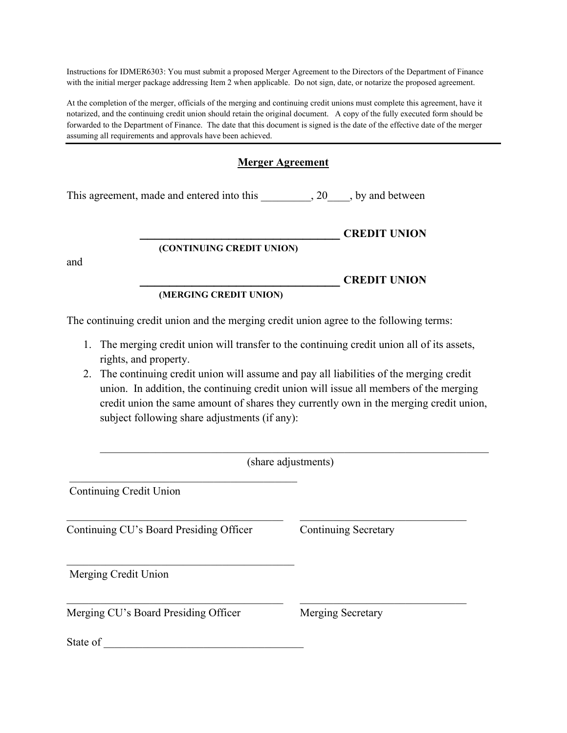Instructions for IDMER6303: You must submit a proposed Merger Agreement to the Directors of the Department of Finance with the initial merger package addressing Item 2 when applicable. Do not sign, date, or notarize the proposed agreement.

At the completion of the merger, officials of the merging and continuing credit unions must complete this agreement, have it notarized, and the continuing credit union should retain the original document. A copy of the fully executed form should be forwarded to the Department of Finance. The date that this document is signed is the date of the effective date of the merger assuming all requirements and approvals have been achieved.

## **Merger Agreement**

<span id="page-11-0"></span>This agreement, made and entered into this  $\qquad \qquad , 20 \qquad$ , by and between

|  |  | <b>CREDIT UNION</b> |
|--|--|---------------------|
|  |  |                     |

## **(CONTINUING CREDIT UNION)**

and

## **(MERGING CREDIT UNION)**

The continuing credit union and the merging credit union agree to the following terms:

- 1. The merging credit union will transfer to the continuing credit union all of its assets, rights, and property.
- 2. The continuing credit union will assume and pay all liabilities of the merging credit union. In addition, the continuing credit union will issue all members of the merging credit union the same amount of shares they currently own in the merging credit union, subject following share adjustments (if any):

(share adjustments)

Continuing Credit Union

Continuing CU's Board Presiding Officer Continuing Secretary

 $\_$  . The contribution of the contribution of  $\mathcal{L}_\mathcal{L}$ 

**\_\_\_\_\_\_\_\_\_\_\_\_\_\_\_\_\_\_\_\_\_\_\_\_\_\_\_ CREDIT UNION**

Merging Credit Union

Merging CU's Board Presiding Officer Merging Secretary

State of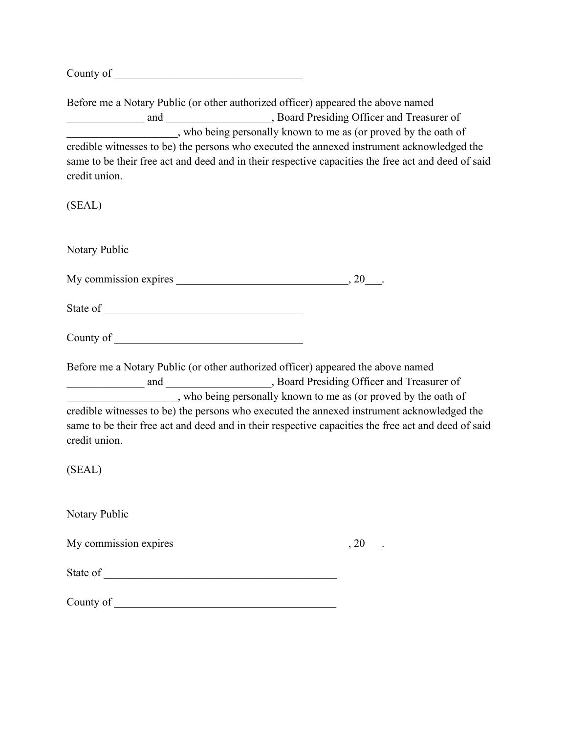County of

Before me a Notary Public (or other authorized officer) appeared the above named \_\_\_\_\_\_\_\_\_\_\_\_\_\_ and \_\_\_\_\_\_\_\_\_\_\_\_\_\_\_\_\_\_\_, Board Presiding Officer and Treasurer of \_\_\_\_\_\_\_\_\_\_\_\_\_\_\_\_\_\_\_\_, who being personally known to me as (or proved by the oath of credible witnesses to be) the persons who executed the annexed instrument acknowledged the same to be their free act and deed and in their respective capacities the free act and deed of said credit union.

(SEAL)

Notary Public

My commission expires  $\qquad \qquad , 20$ 

State of \_\_\_\_\_\_\_\_\_\_\_\_\_\_\_\_\_\_\_\_\_\_\_\_\_\_\_\_\_\_\_\_\_\_\_\_

County of \_\_\_\_\_\_\_\_\_\_\_\_\_\_\_\_\_\_\_\_\_\_\_\_\_\_\_\_\_\_\_\_\_\_

Before me a Notary Public (or other authorized officer) appeared the above named and and  $\qquad \qquad$ , Board Presiding Officer and Treasurer of \_\_\_\_\_\_\_\_\_\_\_\_\_\_\_\_\_\_\_\_, who being personally known to me as (or proved by the oath of credible witnesses to be) the persons who executed the annexed instrument acknowledged the same to be their free act and deed and in their respective capacities the free act and deed of said credit union.

(SEAL)

Notary Public

My commission expires \_\_\_\_\_\_\_\_\_\_\_\_\_\_\_\_\_\_\_\_\_\_\_\_\_\_\_\_\_\_\_\_\_, 20\_\_\_.

State of  $\overline{\phantom{a}}$ 

County of \_\_\_\_\_\_\_\_\_\_\_\_\_\_\_\_\_\_\_\_\_\_\_\_\_\_\_\_\_\_\_\_\_\_\_\_\_\_\_\_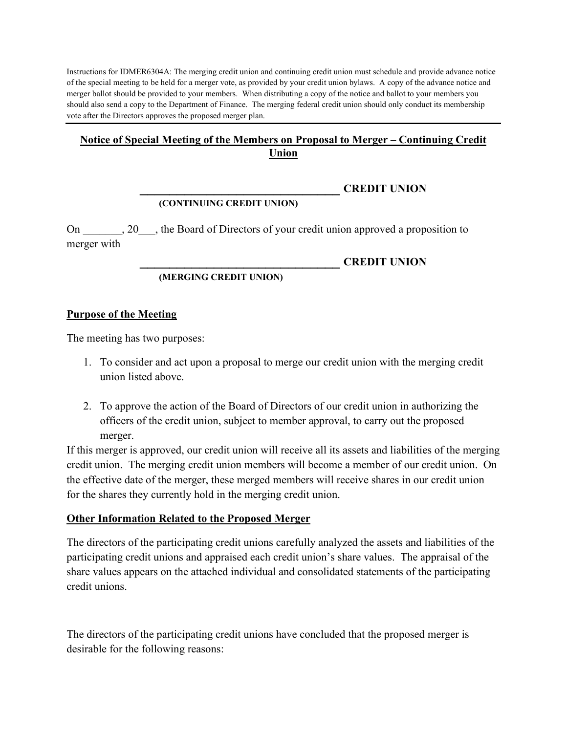Instructions for IDMER6304A: The merging credit union and continuing credit union must schedule and provide advance notice of the special meeting to be held for a merger vote, as provided by your credit union bylaws. A copy of the advance notice and merger ballot should be provided to your members. When distributing a copy of the notice and ballot to your members you should also send a copy to the Department of Finance. The merging federal credit union should only conduct its membership vote after the Directors approves the proposed merger plan.

## <span id="page-13-0"></span>**Notice of Special Meeting of the Members on Proposal to Merger – Continuing Credit Union**

# **(CONTINUING CREDIT UNION)**

On 20, the Board of Directors of your credit union approved a proposition to merger with

#### **\_\_\_\_\_\_\_\_\_\_\_\_\_\_\_\_\_\_\_\_\_\_\_\_\_\_\_ CREDIT UNION**

**\_\_\_\_\_\_\_\_\_\_\_\_\_\_\_\_\_\_\_\_\_\_\_\_\_\_\_ CREDIT UNION**

#### **(MERGING CREDIT UNION)**

#### **Purpose of the Meeting**

The meeting has two purposes:

- 1. To consider and act upon a proposal to merge our credit union with the merging credit union listed above.
- 2. To approve the action of the Board of Directors of our credit union in authorizing the officers of the credit union, subject to member approval, to carry out the proposed merger.

If this merger is approved, our credit union will receive all its assets and liabilities of the merging credit union. The merging credit union members will become a member of our credit union. On the effective date of the merger, these merged members will receive shares in our credit union for the shares they currently hold in the merging credit union.

#### **Other Information Related to the Proposed Merger**

The directors of the participating credit unions carefully analyzed the assets and liabilities of the participating credit unions and appraised each credit union's share values. The appraisal of the share values appears on the attached individual and consolidated statements of the participating credit unions.

The directors of the participating credit unions have concluded that the proposed merger is desirable for the following reasons: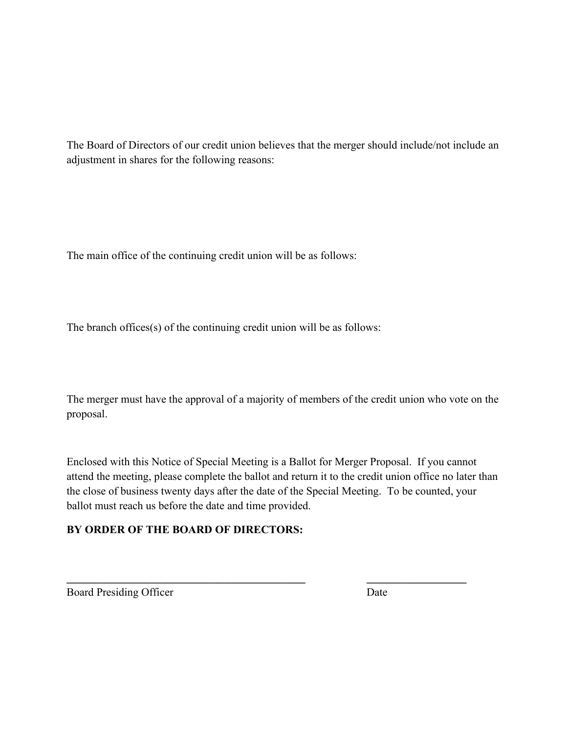The Board of Directors of our credit union believes that the merger should include/not include an adjustment in shares for the following reasons:

The main office of the continuing credit union will be as follows:

The branch offices(s) of the continuing credit union will be as follows:

The merger must have the approval of a majority of members of the credit union who vote on the proposal.

Enclosed with this Notice of Special Meeting is a Ballot for Merger Proposal. If you cannot attend the meeting, please complete the ballot and return it to the credit union office no later than the close of business twenty days after the date of the Special Meeting. To be counted, your ballot must reach us before the date and time provided.

**\_\_\_\_\_\_\_\_\_\_\_\_\_\_\_\_\_\_\_\_\_\_\_\_\_\_\_\_\_\_\_\_\_\_\_\_\_\_\_\_\_\_\_ \_\_\_\_\_\_\_\_\_\_\_\_\_\_\_\_\_\_**

# **BY ORDER OF THE BOARD OF DIRECTORS:**

Board Presiding Officer Date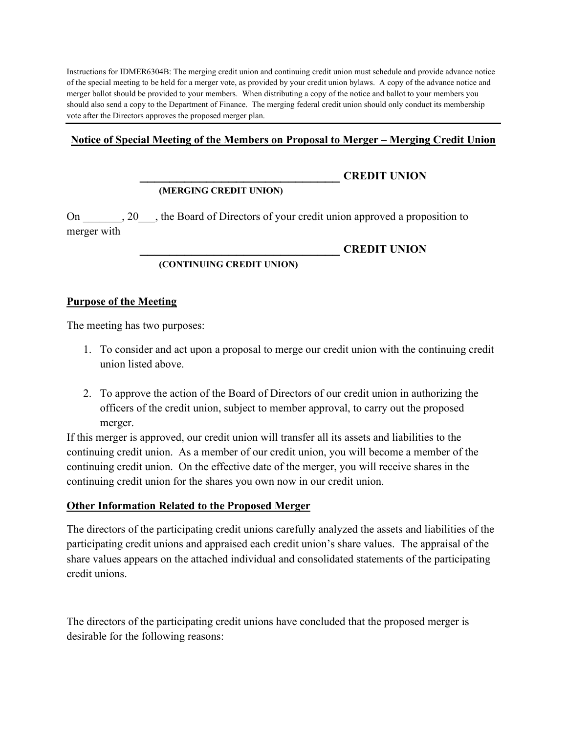Instructions for IDMER6304B: The merging credit union and continuing credit union must schedule and provide advance notice of the special meeting to be held for a merger vote, as provided by your credit union bylaws. A copy of the advance notice and merger ballot should be provided to your members. When distributing a copy of the notice and ballot to your members you should also send a copy to the Department of Finance. The merging federal credit union should only conduct its membership vote after the Directors approves the proposed merger plan.

### <span id="page-15-0"></span>**Notice of Special Meeting of the Members on Proposal to Merger – Merging Credit Union**

# **(MERGING CREDIT UNION)**

#### **\_\_\_\_\_\_\_\_\_\_\_\_\_\_\_\_\_\_\_\_\_\_\_\_\_\_\_ CREDIT UNION**

On 20, the Board of Directors of your credit union approved a proposition to

merger with

#### **\_\_\_\_\_\_\_\_\_\_\_\_\_\_\_\_\_\_\_\_\_\_\_\_\_\_\_ CREDIT UNION**

#### **(CONTINUING CREDIT UNION)**

#### **Purpose of the Meeting**

The meeting has two purposes:

- 1. To consider and act upon a proposal to merge our credit union with the continuing credit union listed above.
- 2. To approve the action of the Board of Directors of our credit union in authorizing the officers of the credit union, subject to member approval, to carry out the proposed merger.

If this merger is approved, our credit union will transfer all its assets and liabilities to the continuing credit union. As a member of our credit union, you will become a member of the continuing credit union. On the effective date of the merger, you will receive shares in the continuing credit union for the shares you own now in our credit union.

## **Other Information Related to the Proposed Merger**

The directors of the participating credit unions carefully analyzed the assets and liabilities of the participating credit unions and appraised each credit union's share values. The appraisal of the share values appears on the attached individual and consolidated statements of the participating credit unions.

The directors of the participating credit unions have concluded that the proposed merger is desirable for the following reasons: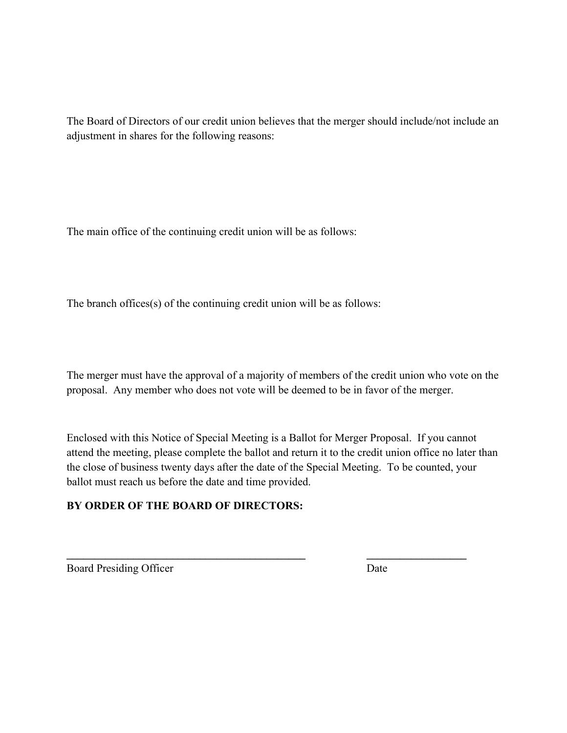The Board of Directors of our credit union believes that the merger should include/not include an adjustment in shares for the following reasons:

The main office of the continuing credit union will be as follows:

The branch offices(s) of the continuing credit union will be as follows:

The merger must have the approval of a majority of members of the credit union who vote on the proposal. Any member who does not vote will be deemed to be in favor of the merger.

Enclosed with this Notice of Special Meeting is a Ballot for Merger Proposal. If you cannot attend the meeting, please complete the ballot and return it to the credit union office no later than the close of business twenty days after the date of the Special Meeting. To be counted, your ballot must reach us before the date and time provided.

**\_\_\_\_\_\_\_\_\_\_\_\_\_\_\_\_\_\_\_\_\_\_\_\_\_\_\_\_\_\_\_\_\_\_\_\_\_\_\_\_\_\_\_ \_\_\_\_\_\_\_\_\_\_\_\_\_\_\_\_\_\_**

# **BY ORDER OF THE BOARD OF DIRECTORS:**

Board Presiding Officer Date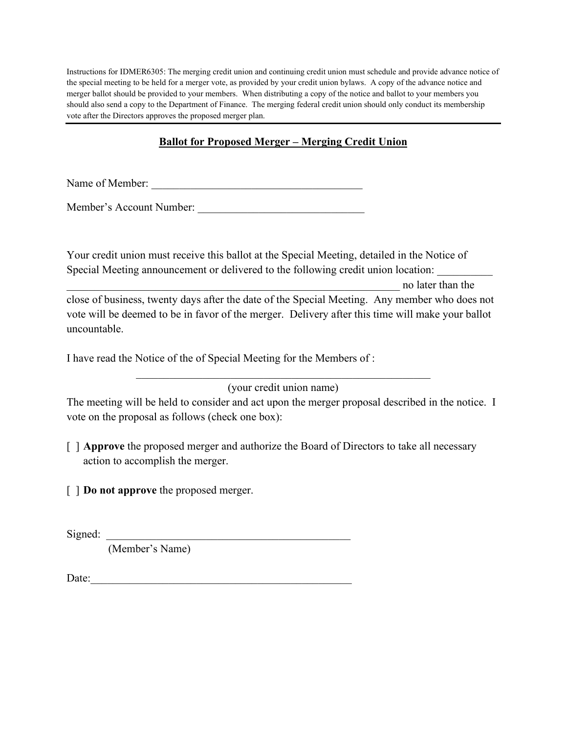Instructions for IDMER6305: The merging credit union and continuing credit union must schedule and provide advance notice of the special meeting to be held for a merger vote, as provided by your credit union bylaws. A copy of the advance notice and merger ballot should be provided to your members. When distributing a copy of the notice and ballot to your members you should also send a copy to the Department of Finance. The merging federal credit union should only conduct its membership vote after the Directors approves the proposed merger plan.

# **Ballot for Proposed Merger – Merging Credit Union**

<span id="page-17-0"></span>Name of Member:

Member's Account Number: \_\_\_\_\_\_\_\_\_\_\_\_\_\_\_\_\_\_\_\_\_\_\_\_\_\_\_\_\_\_

Your credit union must receive this ballot at the Special Meeting, detailed in the Notice of Special Meeting announcement or delivered to the following credit union location:

\_\_\_\_\_\_\_\_\_\_\_\_\_\_\_\_\_\_\_\_\_\_\_\_\_\_\_\_\_\_\_\_\_\_\_\_\_\_\_\_\_\_\_\_\_\_\_\_\_\_\_\_\_\_\_\_\_\_\_\_ no later than the

close of business, twenty days after the date of the Special Meeting. Any member who does not vote will be deemed to be in favor of the merger. Delivery after this time will make your ballot uncountable.

I have read the Notice of the of Special Meeting for the Members of :

\_\_\_\_\_\_\_\_\_\_\_\_\_\_\_\_\_\_\_\_\_\_\_\_\_\_\_\_\_\_\_\_\_\_\_\_\_\_\_\_\_\_\_\_\_\_\_\_\_\_\_\_\_ (your credit union name)

The meeting will be held to consider and act upon the merger proposal described in the notice. I vote on the proposal as follows (check one box):

- [ ] **Approve** the proposed merger and authorize the Board of Directors to take all necessary action to accomplish the merger.
- [ ] **Do not approve** the proposed merger.

 $Signal:$ 

(Member's Name)

Date: